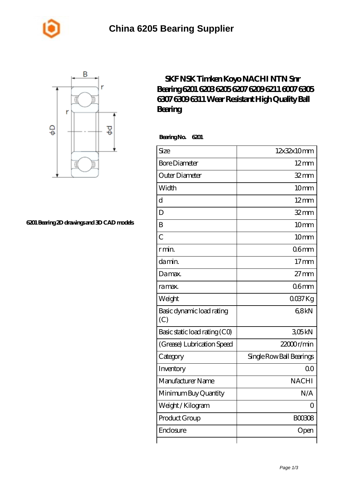



## **[6201 Bearing 2D drawings and 3D CAD models](https://m.johnny-light.com/pic-623810.html)**

## **[SKF NSK Timken Koyo NACHI NTN Snr](https://m.johnny-light.com/skf-6309-bearing/nachi-6201/) [Bearing 6201 6203 6205 6207 6209 6211 6007 6305](https://m.johnny-light.com/skf-6309-bearing/nachi-6201/) [6307 6309 6311 Wear Resistant High Quality Ball](https://m.johnny-light.com/skf-6309-bearing/nachi-6201/) [Bearing](https://m.johnny-light.com/skf-6309-bearing/nachi-6201/)**

 **Bearing No. 6201**

| Size                             | 12x32x10mm               |
|----------------------------------|--------------------------|
| <b>Bore Diameter</b>             | $12 \text{mm}$           |
| Outer Diameter                   | $32$ mm                  |
| Width                            | 10mm                     |
| $\mathbf d$                      | $12 \text{mm}$           |
| D                                | $32$ mm                  |
| B                                | 10 <sub>mm</sub>         |
| $\overline{C}$                   | 10mm                     |
| r min.                           | 06 <sub>mm</sub>         |
| da min.                          | $17$ mm                  |
| Da max.                          | $27 \text{mm}$           |
| ra max.                          | 06 <sub>mm</sub>         |
| Weight                           | $0037$ Kg                |
| Basic dynamic load rating<br>(C) | 68kN                     |
| Basic static load rating (CO)    | 305kN                    |
| (Grease) Lubrication Speed       | 22000r/min               |
| Category                         | Single Row Ball Bearings |
| Inventory                        | 0 <sup>0</sup>           |
| Manufacturer Name                | <b>NACHI</b>             |
| Minimum Buy Quantity             | N/A                      |
| Weight / Kilogram                | $\overline{O}$           |
| Product Group                    | <b>BOO308</b>            |
| Enclosure                        | Open                     |
|                                  |                          |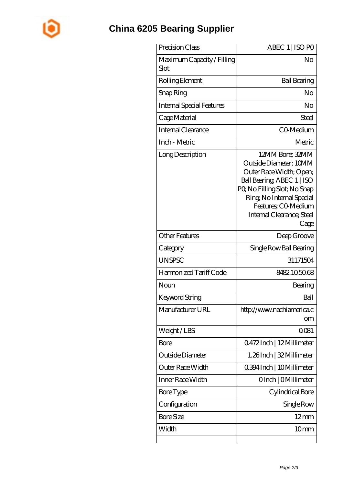

## **[China 6205 Bearing Supplier](https://m.johnny-light.com)**

| Precision Class                    | ABEC 1   ISO PO                                                                                                                                                                                                            |
|------------------------------------|----------------------------------------------------------------------------------------------------------------------------------------------------------------------------------------------------------------------------|
| Maximum Capacity / Filling<br>Slot | No                                                                                                                                                                                                                         |
| Rolling Element                    | <b>Ball Bearing</b>                                                                                                                                                                                                        |
| Snap Ring                          | No                                                                                                                                                                                                                         |
| <b>Internal Special Features</b>   | No                                                                                                                                                                                                                         |
| Cage Material                      | Steel                                                                                                                                                                                                                      |
| Internal Clearance                 | CO-Medium                                                                                                                                                                                                                  |
| Inch - Metric                      | Metric                                                                                                                                                                                                                     |
| Long Description                   | 12MM Bore; 32MM<br>Outside Diameter; 10MM<br>Outer Race Width; Open;<br>Ball Bearing, ABEC 1   ISO<br>PQ No Filling Slot; No Snap<br>Ring, No Internal Special<br>Features; CO-Medium<br>Internal Clearance; Steel<br>Cage |
| <b>Other Features</b>              | Deep Groove                                                                                                                                                                                                                |
| Category                           | Single Row Ball Bearing                                                                                                                                                                                                    |
| <b>UNSPSC</b>                      | 31171504                                                                                                                                                                                                                   |
| Harmonized Tariff Code             | 8482105068                                                                                                                                                                                                                 |
| Noun                               | Bearing                                                                                                                                                                                                                    |
| Keyword String                     | Ball                                                                                                                                                                                                                       |
| Manufacturer URL                   | http://www.nachiamerica.c<br>om                                                                                                                                                                                            |
| Weight/LBS                         | 0081                                                                                                                                                                                                                       |
| Bore                               | 0472Inch   12Millimeter                                                                                                                                                                                                    |
| Outside Diameter                   | 1.26Inch   32 Millimeter                                                                                                                                                                                                   |
| Outer Race Width                   | 0.394 Inch   10 Millimeter                                                                                                                                                                                                 |
| Inner Race Width                   | OInch   OMillimeter                                                                                                                                                                                                        |
| Bore Type                          | Cylindrical Bore                                                                                                                                                                                                           |
| Configuration                      | Single Row                                                                                                                                                                                                                 |
| <b>Bore Size</b>                   | $12 \,\mathrm{mm}$                                                                                                                                                                                                         |
| Width                              | 10 <sub>mm</sub>                                                                                                                                                                                                           |
|                                    |                                                                                                                                                                                                                            |